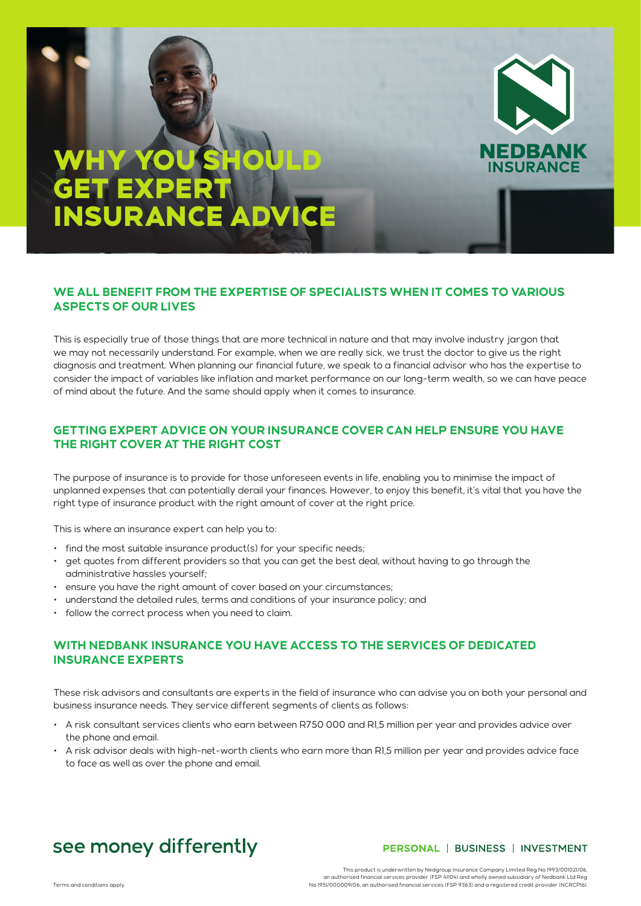# WHY YOU SHOULD GET EXPERT **INSURANCE ADVI**



This is especially true of those things that are more technical in nature and that may involve industry jargon that we may not necessarily understand. For example, when we are really sick, we trust the doctor to give us the right diagnosis and treatment. When planning our financial future, we speak to a financial advisor who has the expertise to consider the impact of variables like inflation and market performance on our long-term wealth, so we can have peace of mind about the future. And the same should apply when it comes to insurance.

### **GETTING EXPERT ADVICE ON YOUR INSURANCE COVER CAN HELP ENSURE YOU HAVE THE RIGHT COVER AT THE RIGHT COST**

The purpose of insurance is to provide for those unforeseen events in life, enabling you to minimise the impact of unplanned expenses that can potentially derail your finances. However, to enjoy this benefit, it's vital that you have the right type of insurance product with the right amount of cover at the right price.

This is where an insurance expert can help you to:

- find the most suitable insurance product(s) for your specific needs;
- get quotes from different providers so that you can get the best deal, without having to go through the administrative hassles yourself;
- ensure you have the right amount of cover based on your circumstances;
- understand the detailed rules, terms and conditions of your insurance policy; and
- follow the correct process when you need to claim.

## **WITH NEDBANK INSURANCE YOU HAVE ACCESS TO THE SERVICES OF DEDICATED INSURANCE EXPERTS**

These risk advisors and consultants are experts in the field of insurance who can advise you on both your personal and business insurance needs. They service different segments of clients as follows:

- A risk consultant services clients who earn between R750 000 and R1,5 million per year and provides advice over the phone and email.
- A risk advisor deals with high-net-worth clients who earn more than R1,5 million per year and provides advice face to face as well as over the phone and email.

# see money differently

#### PERSONAL | BUSINESS | INVESTMENT

**EDBANK SURANCE** 

This product is underwritten by Nedgroup Insurance Company Limited Reg No 1993/001021/06, an authorised financial services provider (FSP 41104) and wholly owned subsidiary of Nedbank Ltd Reg<br>No 1951/00009/06, an authorised financial services (FSP 9363) and a registered credit provider (NCRCPI6).